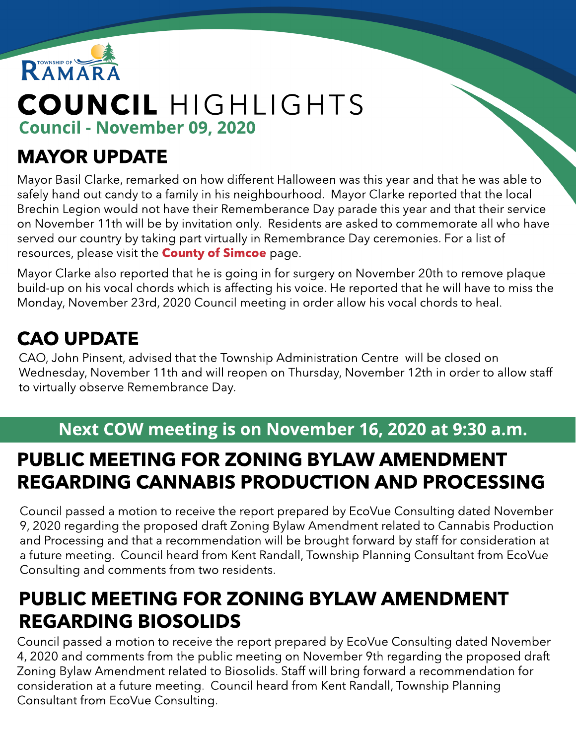

# COUNCIL HIGHLIGHTS Council - November 09, 2020

## MAYOR UPDATE

Mayor Basil Clarke, remarked on how different Halloween was this year and that he was able to safely hand out candy to a family in his neighbourhood. Mayor Clarke reported that the local Brechin Legion would not have their Rememberance Day parade this year and that their service on November 11th will be by invitation only. Residents are asked to commemorate all who have served our country by taking part virtually in Remembrance Day ceremonies. For a list of resources, please visit the **[County](https://www.simcoe.ca/CorporateCommunications/Pages/remembrance-day.aspx) [of](https://www.simcoe.ca/CorporateCommunications/Pages/remembrance-day.aspx) [Simcoe](https://www.simcoe.ca/CorporateCommunications/Pages/remembrance-day.aspx)** page.

Mayor Clarke also reported that he is going in for surgery on November 20th to remove plaque build-up on his vocal chords which is affecting his voice. He reported that he will have to miss the Monday, November 23rd, 2020 Council meeting in order allow his vocal chords to heal.

# CAO UPDATE

CAO, John Pinsent, advised that the Township Administration Centre will be closed on Wednesday, November 11th and will reopen on Thursday, November 12th in order to allow staff to virtually observe Remembrance Day.

#### Next COW meeting is on November 16, 2020 at 9:30 a.m.

### PUBLIC MEETING FOR ZONING BYLAW AMENDMENT REGARDING CANNABIS PRODUCTION AND PROCESSING

Council passed a motion to receive the report prepared by EcoVue Consulting dated November 9, 2020 regarding the proposed draft Zoning Bylaw Amendment related to Cannabis Production and Processing and that a recommendation will be brought forward by staff for consideration at a future meeting. Council heard from Kent Randall, Township Planning Consultant from EcoVue Consulting and comments from two residents.

## PUBLIC MEETING FOR ZONING BYLAW AMENDMENT REGARDING BIOSOLIDS

Council passed a motion to receive the report prepared by EcoVue Consulting dated November 4, 2020 and comments from the public meeting on November 9th regarding the proposed draft Zoning Bylaw Amendment related to Biosolids. Staff will bring forward a recommendation for consideration at a future meeting. Council heard from Kent Randall, Township Planning Consultant from EcoVue Consulting.